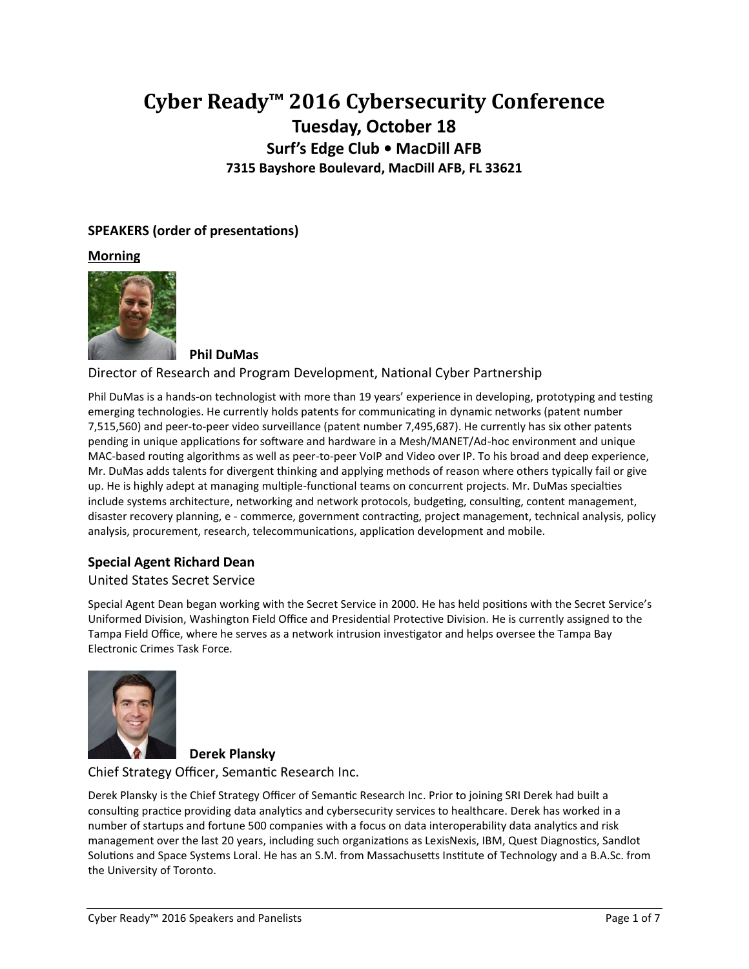# **Cyber Ready™ 2016 Cybersecurity Conference Tuesday, October 18 Surf's Edge Club • MacDill AFB 7315 Bayshore Boulevard, MacDill AFB, FL 33621**

# **SPEAKERS (order of presentations)**

**Morning**



**Phil DuMas**

Director of Research and Program Development, National Cyber Partnership

Phil DuMas is a hands-on technologist with more than 19 years' experience in developing, prototyping and testing emerging technologies. He currently holds patents for communicating in dynamic networks (patent number 7,515,560) and peer-to-peer video surveillance (patent number 7,495,687). He currently has six other patents pending in unique applications for software and hardware in a Mesh/MANET/Ad-hoc environment and unique MAC-based routing algorithms as well as peer-to-peer VoIP and Video over IP. To his broad and deep experience, Mr. DuMas adds talents for divergent thinking and applying methods of reason where others typically fail or give up. He is highly adept at managing multiple-functional teams on concurrent projects. Mr. DuMas specialties include systems architecture, networking and network protocols, budgeting, consulting, content management, disaster recovery planning, e - commerce, government contracting, project management, technical analysis, policy analysis, procurement, research, telecommunications, application development and mobile.

# **Special Agent Richard Dean**

#### United States Secret Service

Special Agent Dean began working with the Secret Service in 2000. He has held positions with the Secret Service's Uniformed Division, Washington Field Office and Presidential Protective Division. He is currently assigned to the Tampa Field Office, where he serves as a network intrusion investigator and helps oversee the Tampa Bay Electronic Crimes Task Force.



# **Derek Plansky**

Chief Strategy Officer, Semantic Research Inc.

Derek Plansky is the Chief Strategy Officer of Semantic Research Inc. Prior to joining SRI Derek had built a consulting practice providing data analytics and cybersecurity services to healthcare. Derek has worked in a number of startups and fortune 500 companies with a focus on data interoperability data analytics and risk management over the last 20 years, including such organizations as LexisNexis, IBM, Quest Diagnostics, Sandlot Solutions and Space Systems Loral. He has an S.M. from Massachusetts Institute of Technology and a B.A.Sc. from the University of Toronto.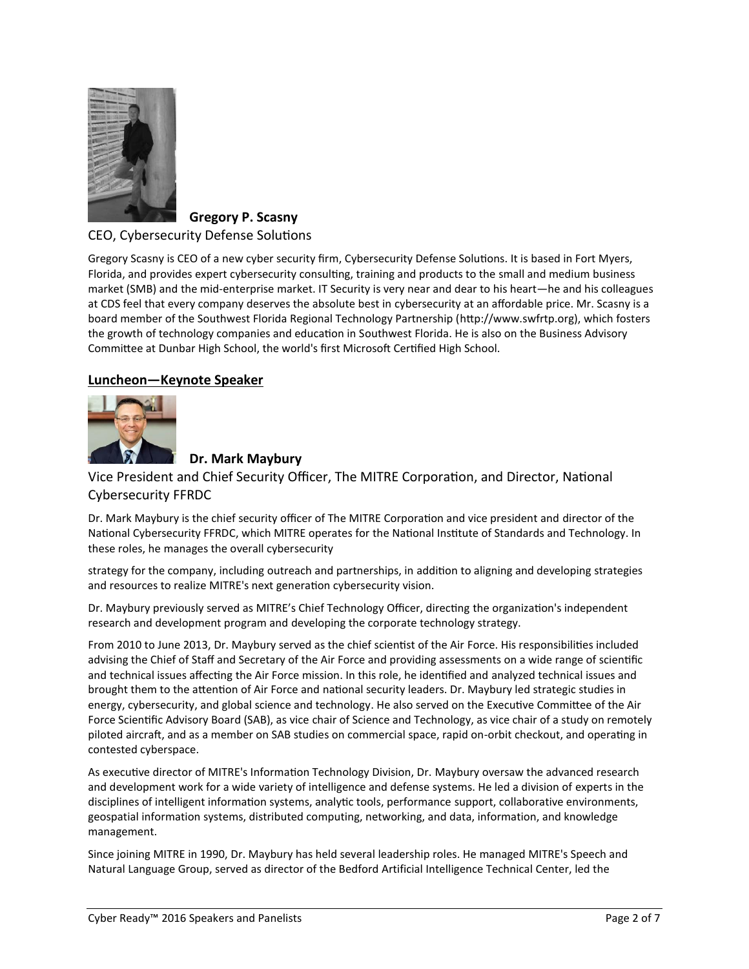

# **Gregory P. Scasny**

#### CEO, Cybersecurity Defense Solutions

Gregory Scasny is CEO of a new cyber security firm, Cybersecurity Defense Solutions. It is based in Fort Myers, Florida, and provides expert cybersecurity consulting, training and products to the small and medium business market (SMB) and the mid-enterprise market. IT Security is very near and dear to his heart—he and his colleagues at CDS feel that every company deserves the absolute best in cybersecurity at an affordable price. Mr. Scasny is a board member of the Southwest Florida Regional Technology Partnership (http://www.swfrtp.org), which fosters the growth of technology companies and education in Southwest Florida. He is also on the Business Advisory Committee at Dunbar High School, the world's first Microsoft Certified High School.

## **Luncheon—Keynote Speaker**



# **Dr. Mark Maybury**

Vice President and Chief Security Officer, The MITRE Corporation, and Director, National Cybersecurity FFRDC

Dr. Mark Maybury is the chief security officer of The MITRE Corporation and vice president and director of the National Cybersecurity FFRDC, which MITRE operates for the National Institute of Standards and Technology. In these roles, he manages the overall cybersecurity

strategy for the company, including outreach and partnerships, in addition to aligning and developing strategies and resources to realize MITRE's next generation cybersecurity vision.

Dr. Maybury previously served as MITRE's Chief Technology Officer, directing the organization's independent research and development program and developing the corporate technology strategy.

From 2010 to June 2013, Dr. Maybury served as the chief scientist of the Air Force. His responsibilities included advising the Chief of Staff and Secretary of the Air Force and providing assessments on a wide range of scientific and technical issues affecting the Air Force mission. In this role, he identified and analyzed technical issues and brought them to the attention of Air Force and national security leaders. Dr. Maybury led strategic studies in energy, cybersecurity, and global science and technology. He also served on the Executive Committee of the Air Force Scientific Advisory Board (SAB), as vice chair of Science and Technology, as vice chair of a study on remotely piloted aircraft, and as a member on SAB studies on commercial space, rapid on-orbit checkout, and operating in contested cyberspace.

As executive director of MITRE's Information Technology Division, Dr. Maybury oversaw the advanced research and development work for a wide variety of intelligence and defense systems. He led a division of experts in the disciplines of intelligent information systems, analytic tools, performance support, collaborative environments, geospatial information systems, distributed computing, networking, and data, information, and knowledge management.

Since joining MITRE in 1990, Dr. Maybury has held several leadership roles. He managed MITRE's Speech and Natural Language Group, served as director of the Bedford Artificial Intelligence Technical Center, led the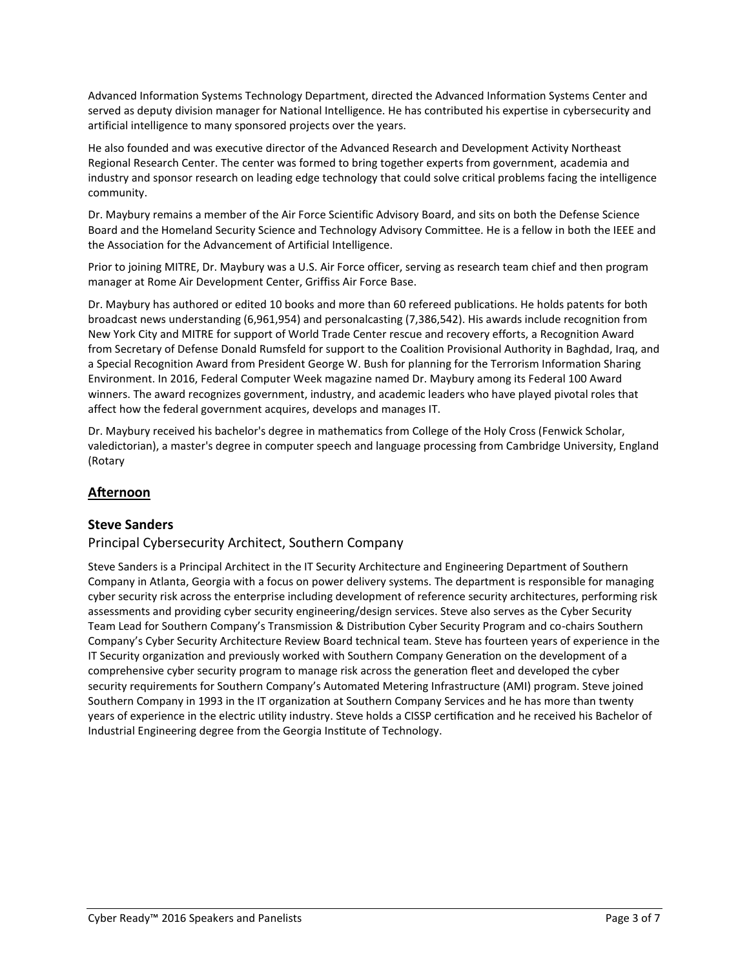Advanced Information Systems Technology Department, directed the Advanced Information Systems Center and served as deputy division manager for National Intelligence. He has contributed his expertise in cybersecurity and artificial intelligence to many sponsored projects over the years.

He also founded and was executive director of the Advanced Research and Development Activity Northeast Regional Research Center. The center was formed to bring together experts from government, academia and industry and sponsor research on leading edge technology that could solve critical problems facing the intelligence community.

Dr. Maybury remains a member of the Air Force Scientific Advisory Board, and sits on both the Defense Science Board and the Homeland Security Science and Technology Advisory Committee. He is a fellow in both the IEEE and the Association for the Advancement of Artificial Intelligence.

Prior to joining MITRE, Dr. Maybury was a U.S. Air Force officer, serving as research team chief and then program manager at Rome Air Development Center, Griffiss Air Force Base.

Dr. Maybury has authored or edited 10 books and more than 60 refereed publications. He holds patents for both broadcast news understanding (6,961,954) and personalcasting (7,386,542). His awards include recognition from New York City and MITRE for support of World Trade Center rescue and recovery efforts, a Recognition Award from Secretary of Defense Donald Rumsfeld for support to the Coalition Provisional Authority in Baghdad, Iraq, and a Special Recognition Award from President George W. Bush for planning for the Terrorism Information Sharing Environment. In 2016, Federal Computer Week magazine named Dr. Maybury among its Federal 100 Award winners. The award recognizes government, industry, and academic leaders who have played pivotal roles that affect how the federal government acquires, develops and manages IT.

Dr. Maybury received his bachelor's degree in mathematics from College of the Holy Cross (Fenwick Scholar, valedictorian), a master's degree in computer speech and language processing from Cambridge University, England (Rotary

# **Afternoon**

## **Steve Sanders**

#### Principal Cybersecurity Architect, Southern Company

Steve Sanders is a Principal Architect in the IT Security Architecture and Engineering Department of Southern Company in Atlanta, Georgia with a focus on power delivery systems. The department is responsible for managing cyber security risk across the enterprise including development of reference security architectures, performing risk assessments and providing cyber security engineering/design services. Steve also serves as the Cyber Security Team Lead for Southern Company's Transmission & Distribution Cyber Security Program and co-chairs Southern Company's Cyber Security Architecture Review Board technical team. Steve has fourteen years of experience in the IT Security organization and previously worked with Southern Company Generation on the development of a comprehensive cyber security program to manage risk across the generation fleet and developed the cyber security requirements for Southern Company's Automated Metering Infrastructure (AMI) program. Steve joined Southern Company in 1993 in the IT organization at Southern Company Services and he has more than twenty years of experience in the electric utility industry. Steve holds a CISSP certification and he received his Bachelor of Industrial Engineering degree from the Georgia Institute of Technology.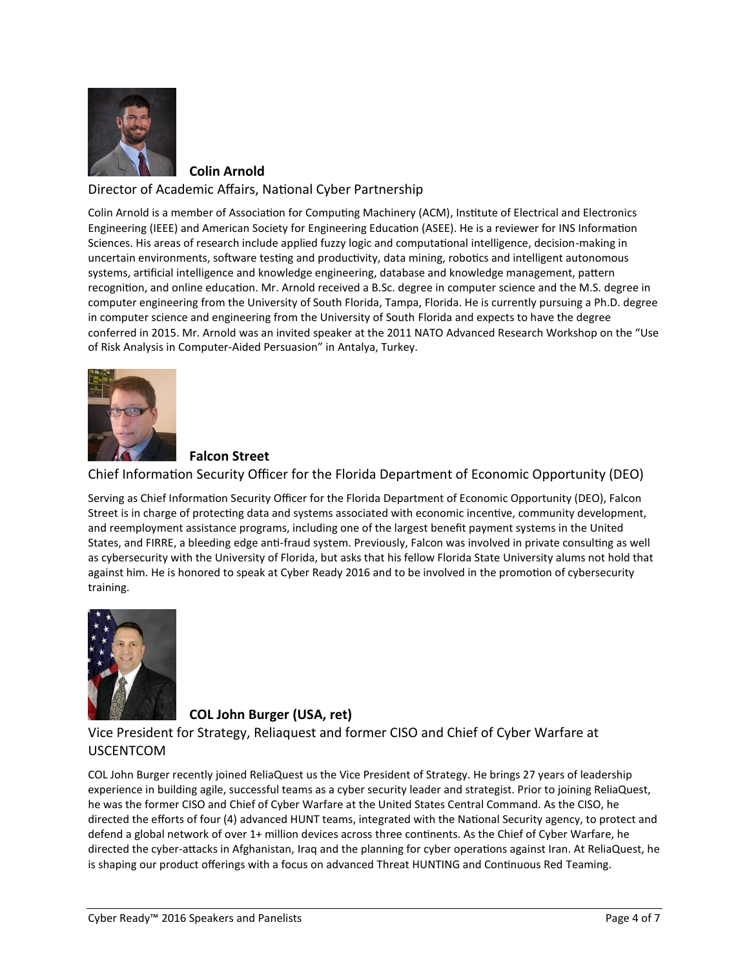

**Colin Arnold**

#### Director of Academic Affairs, National Cyber Partnership

Colin Arnold is a member of Association for Computing Machinery (ACM), Institute of Electrical and Electronics Engineering (IEEE) and American Society for Engineering Education (ASEE). He is a reviewer for INS Information Sciences. His areas of research include applied fuzzy logic and computational intelligence, decision-making in uncertain environments, software testing and productivity, data mining, robotics and intelligent autonomous systems, artificial intelligence and knowledge engineering, database and knowledge management, pattern recognition, and online education. Mr. Arnold received a B.Sc. degree in computer science and the M.S. degree in computer engineering from the University of South Florida, Tampa, Florida. He is currently pursuing a Ph.D. degree in computer science and engineering from the University of South Florida and expects to have the degree conferred in 2015. Mr. Arnold was an invited speaker at the 2011 NATO Advanced Research Workshop on the "Use of Risk Analysis in Computer-Aided Persuasion" in Antalya, Turkey.



## **Falcon Street**

Chief Information Security Officer for the Florida Department of Economic Opportunity (DEO)

Serving as Chief Information Security Officer for the Florida Department of Economic Opportunity (DEO), Falcon Street is in charge of protecting data and systems associated with economic incentive, community development, and reemployment assistance programs, including one of the largest benefit payment systems in the United States, and FIRRE, a bleeding edge anti-fraud system. Previously, Falcon was involved in private consulting as well as cybersecurity with the University of Florida, but asks that his fellow Florida State University alums not hold that against him. He is honored to speak at Cyber Ready 2016 and to be involved in the promotion of cybersecurity training.



## **COL John Burger (USA, ret)**

Vice President for Strategy, Reliaquest and former CISO and Chief of Cyber Warfare at USCENTCOM

COL John Burger recently joined ReliaQuest us the Vice President of Strategy. He brings 27 years of leadership experience in building agile, successful teams as a cyber security leader and strategist. Prior to joining ReliaQuest, he was the former CISO and Chief of Cyber Warfare at the United States Central Command. As the CISO, he directed the efforts of four (4) advanced HUNT teams, integrated with the National Security agency, to protect and defend a global network of over 1+ million devices across three continents. As the Chief of Cyber Warfare, he directed the cyber-attacks in Afghanistan, Iraq and the planning for cyber operations against Iran. At ReliaQuest, he is shaping our product offerings with a focus on advanced Threat HUNTING and Continuous Red Teaming.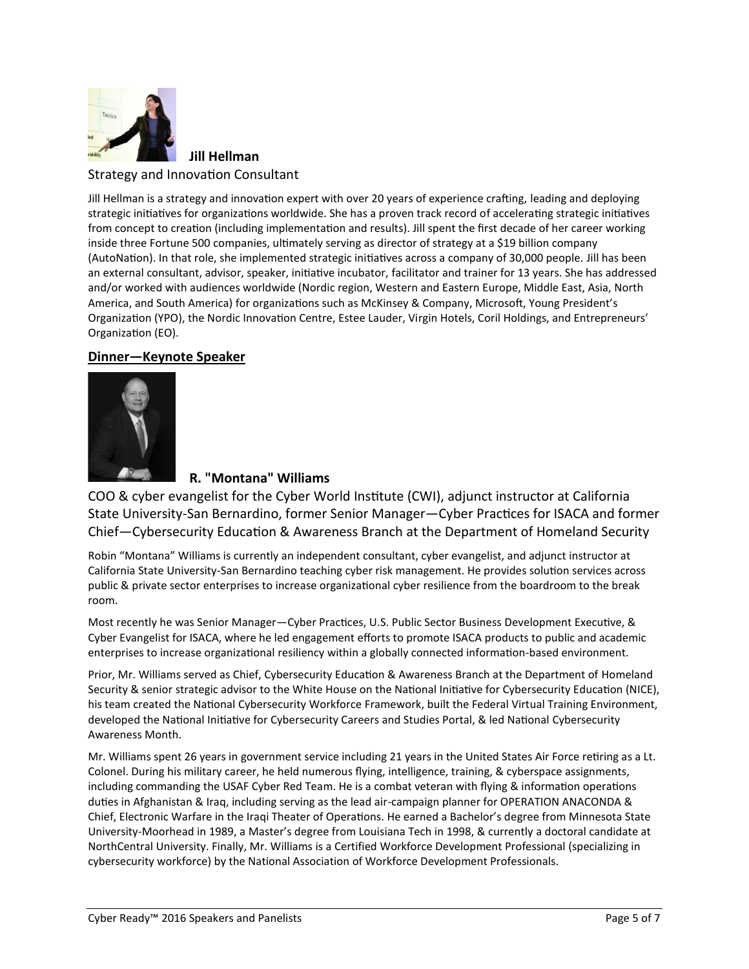

**Jill Hellman** Strategy and Innovation Consultant

Jill Hellman is a strategy and innovation expert with over 20 years of experience crafting, leading and deploying strategic initiatives for organizations worldwide. She has a proven track record of accelerating strategic initiatives from concept to creation (including implementation and results). Jill spent the first decade of her career working inside three Fortune 500 companies, ultimately serving as director of strategy at a \$19 billion company (AutoNation). In that role, she implemented strategic initiatives across a company of 30,000 people. Jill has been an external consultant, advisor, speaker, initiative incubator, facilitator and trainer for 13 years. She has addressed and/or worked with audiences worldwide (Nordic region, Western and Eastern Europe, Middle East, Asia, North America, and South America) for organizations such as McKinsey & Company, Microsoft, Young President's Organization (YPO), the Nordic Innovation Centre, Estee Lauder, Virgin Hotels, Coril Holdings, and Entrepreneurs' Organization (EO).

## **Dinner—Keynote Speaker**



## **R. "Montana" Williams**

COO & cyber evangelist for the Cyber World Institute (CWI), adjunct instructor at California State University-San Bernardino, former Senior Manager—Cyber Practices for ISACA and former Chief—Cybersecurity Education & Awareness Branch at the Department of Homeland Security

Robin "Montana" Williams is currently an independent consultant, cyber evangelist, and adjunct instructor at California State University-San Bernardino teaching cyber risk management. He provides solution services across public & private sector enterprises to increase organizational cyber resilience from the boardroom to the break room.

Most recently he was Senior Manager—Cyber Practices, U.S. Public Sector Business Development Executive, & Cyber Evangelist for ISACA, where he led engagement efforts to promote ISACA products to public and academic enterprises to increase organizational resiliency within a globally connected information-based environment.

Prior, Mr. Williams served as Chief, Cybersecurity Education & Awareness Branch at the Department of Homeland Security & senior strategic advisor to the White House on the National Initiative for Cybersecurity Education (NICE), his team created the National Cybersecurity Workforce Framework, built the Federal Virtual Training Environment, developed the National Initiative for Cybersecurity Careers and Studies Portal, & led National Cybersecurity Awareness Month.

Mr. Williams spent 26 years in government service including 21 years in the United States Air Force retiring as a Lt. Colonel. During his military career, he held numerous flying, intelligence, training, & cyberspace assignments, including commanding the USAF Cyber Red Team. He is a combat veteran with flying & information operations duties in Afghanistan & Iraq, including serving as the lead air-campaign planner for OPERATION ANACONDA & Chief, Electronic Warfare in the Iraqi Theater of Operations. He earned a Bachelor's degree from Minnesota State University-Moorhead in 1989, a Master's degree from Louisiana Tech in 1998, & currently a doctoral candidate at NorthCentral University. Finally, Mr. Williams is a Certified Workforce Development Professional (specializing in cybersecurity workforce) by the National Association of Workforce Development Professionals.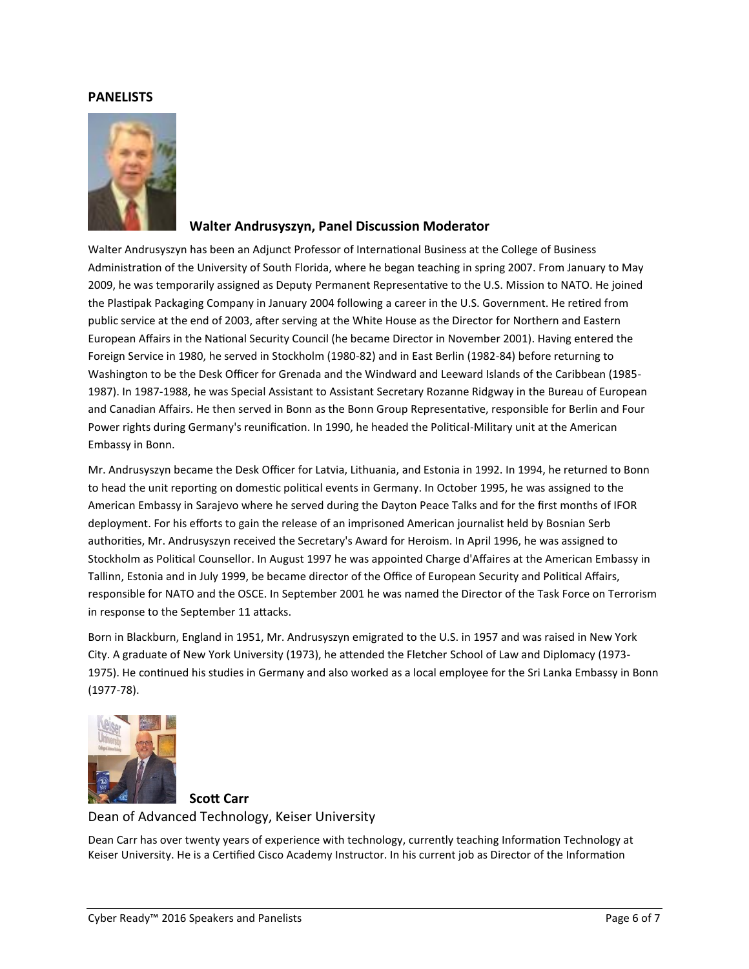#### **PANELISTS**



#### **Walter Andrusyszyn, Panel Discussion Moderator**

Walter Andrusyszyn has been an Adjunct Professor of International Business at the College of Business Administration of the University of South Florida, where he began teaching in spring 2007. From January to May 2009, he was temporarily assigned as Deputy Permanent Representative to the U.S. Mission to NATO. He joined the Plastipak Packaging Company in January 2004 following a career in the U.S. Government. He retired from public service at the end of 2003, after serving at the White House as the Director for Northern and Eastern European Affairs in the National Security Council (he became Director in November 2001). Having entered the Foreign Service in 1980, he served in Stockholm (1980-82) and in East Berlin (1982-84) before returning to Washington to be the Desk Officer for Grenada and the Windward and Leeward Islands of the Caribbean (1985- 1987). In 1987-1988, he was Special Assistant to Assistant Secretary Rozanne Ridgway in the Bureau of European and Canadian Affairs. He then served in Bonn as the Bonn Group Representative, responsible for Berlin and Four Power rights during Germany's reunification. In 1990, he headed the Political-Military unit at the American Embassy in Bonn.

Mr. Andrusyszyn became the Desk Officer for Latvia, Lithuania, and Estonia in 1992. In 1994, he returned to Bonn to head the unit reporting on domestic political events in Germany. In October 1995, he was assigned to the American Embassy in Sarajevo where he served during the Dayton Peace Talks and for the first months of IFOR deployment. For his efforts to gain the release of an imprisoned American journalist held by Bosnian Serb authorities, Mr. Andrusyszyn received the Secretary's Award for Heroism. In April 1996, he was assigned to Stockholm as Political Counsellor. In August 1997 he was appointed Charge d'Affaires at the American Embassy in Tallinn, Estonia and in July 1999, be became director of the Office of European Security and Political Affairs, responsible for NATO and the OSCE. In September 2001 he was named the Director of the Task Force on Terrorism in response to the September 11 attacks.

Born in Blackburn, England in 1951, Mr. Andrusyszyn emigrated to the U.S. in 1957 and was raised in New York City. A graduate of New York University (1973), he attended the Fletcher School of Law and Diplomacy (1973- 1975). He continued his studies in Germany and also worked as a local employee for the Sri Lanka Embassy in Bonn (1977-78).



#### **Scott Carr** Dean of Advanced Technology, Keiser University

Dean Carr has over twenty years of experience with technology, currently teaching Information Technology at Keiser University. He is a Certified Cisco Academy Instructor. In his current job as Director of the Information